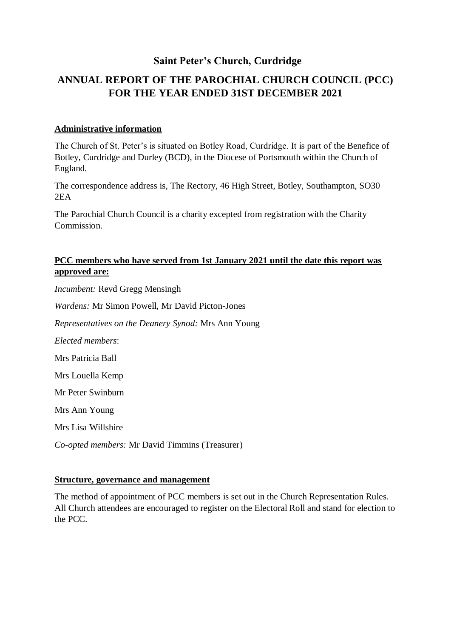## **Saint Peter's Church, Curdridge**

# **ANNUAL REPORT OF THE PAROCHIAL CHURCH COUNCIL (PCC) FOR THE YEAR ENDED 31ST DECEMBER 2021**

#### **Administrative information**

The Church of St. Peter's is situated on Botley Road, Curdridge. It is part of the Benefice of Botley, Curdridge and Durley (BCD), in the Diocese of Portsmouth within the Church of England.

The correspondence address is, The Rectory, 46 High Street, Botley, Southampton, SO30 2EA

The Parochial Church Council is a charity excepted from registration with the Charity Commission.

## **PCC members who have served from 1st January 2021 until the date this report was approved are:**

*Incumbent:* Revd Gregg Mensingh

*Wardens:* Mr Simon Powell, Mr David Picton-Jones

*Representatives on the Deanery Synod:* Mrs Ann Young

*Elected members*:

Mrs Patricia Ball

Mrs Louella Kemp

Mr Peter Swinburn

Mrs Ann Young

Mrs Lisa Willshire

*Co-opted members:* Mr David Timmins (Treasurer)

#### **Structure, governance and management**

The method of appointment of PCC members is set out in the Church Representation Rules. All Church attendees are encouraged to register on the Electoral Roll and stand for election to the PCC.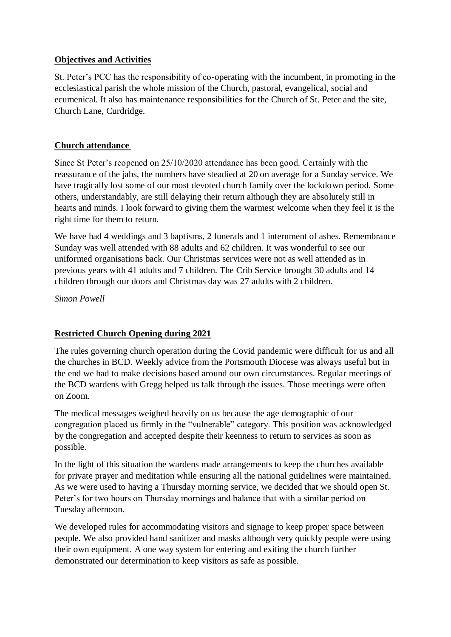#### **Objectives and Activities**

St. Peter's PCC has the responsibility of co-operating with the incumbent, in promoting in the ecclesiastical parish the whole mission of the Church, pastoral, evangelical, social and ecumenical. It also has maintenance responsibilities for the Church of St. Peter and the site, Church Lane, Curdridge.

## **Church attendance**

Since St Peter's reopened on 25/10/2020 attendance has been good. Certainly with the reassurance of the jabs, the numbers have steadied at 20 on average for a Sunday service. We have tragically lost some of our most devoted church family over the lockdown period. Some others, understandably, are still delaying their return although they are absolutely still in hearts and minds. I look forward to giving them the warmest welcome when they feel it is the right time for them to return.

We have had 4 weddings and 3 baptisms, 2 funerals and 1 internment of ashes. Remembrance Sunday was well attended with 88 adults and 62 children. It was wonderful to see our uniformed organisations back. Our Christmas services were not as well attended as in previous years with 41 adults and 7 children. The Crib Service brought 30 adults and 14 children through our doors and Christmas day was 27 adults with 2 children.

*Simon Powell*

## **Restricted Church Opening during 2021**

The rules governing church operation during the Covid pandemic were difficult for us and all the churches in BCD. Weekly advice from the Portsmouth Diocese was always useful but in the end we had to make decisions based around our own circumstances. Regular meetings of the BCD wardens with Gregg helped us talk through the issues. Those meetings were often on Zoom.

The medical messages weighed heavily on us because the age demographic of our congregation placed us firmly in the "vulnerable" category. This position was acknowledged by the congregation and accepted despite their keenness to return to services as soon as possible.

In the light of this situation the wardens made arrangements to keep the churches available for private prayer and meditation while ensuring all the national guidelines were maintained. As we were used to having a Thursday morning service, we decided that we should open St. Peter's for two hours on Thursday mornings and balance that with a similar period on Tuesday afternoon.

We developed rules for accommodating visitors and signage to keep proper space between people. We also provided hand sanitizer and masks although very quickly people were using their own equipment. A one way system for entering and exiting the church further demonstrated our determination to keep visitors as safe as possible.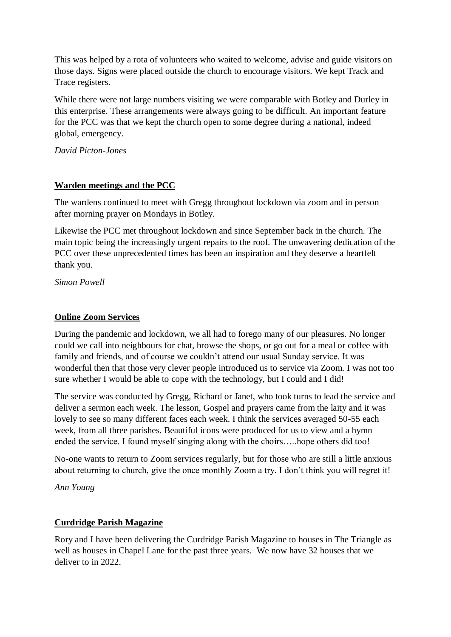This was helped by a rota of volunteers who waited to welcome, advise and guide visitors on those days. Signs were placed outside the church to encourage visitors. We kept Track and Trace registers.

While there were not large numbers visiting we were comparable with Botley and Durley in this enterprise. These arrangements were always going to be difficult. An important feature for the PCC was that we kept the church open to some degree during a national, indeed global, emergency.

*David Picton-Jones*

## **Warden meetings and the PCC**

The wardens continued to meet with Gregg throughout lockdown via zoom and in person after morning prayer on Mondays in Botley.

Likewise the PCC met throughout lockdown and since September back in the church. The main topic being the increasingly urgent repairs to the roof. The unwavering dedication of the PCC over these unprecedented times has been an inspiration and they deserve a heartfelt thank you.

*Simon Powell*

## **Online Zoom Services**

During the pandemic and lockdown, we all had to forego many of our pleasures. No longer could we call into neighbours for chat, browse the shops, or go out for a meal or coffee with family and friends, and of course we couldn't attend our usual Sunday service. It was wonderful then that those very clever people introduced us to service via Zoom. I was not too sure whether I would be able to cope with the technology, but I could and I did!

The service was conducted by Gregg, Richard or Janet, who took turns to lead the service and deliver a sermon each week. The lesson, Gospel and prayers came from the laity and it was lovely to see so many different faces each week. I think the services averaged 50-55 each week, from all three parishes. Beautiful icons were produced for us to view and a hymn ended the service. I found myself singing along with the choirs…..hope others did too!

No-one wants to return to Zoom services regularly, but for those who are still a little anxious about returning to church, give the once monthly Zoom a try. I don't think you will regret it!

*Ann Young*

#### **Curdridge Parish Magazine**

Rory and I have been delivering the Curdridge Parish Magazine to houses in The Triangle as well as houses in Chapel Lane for the past three years. We now have 32 houses that we deliver to in 2022.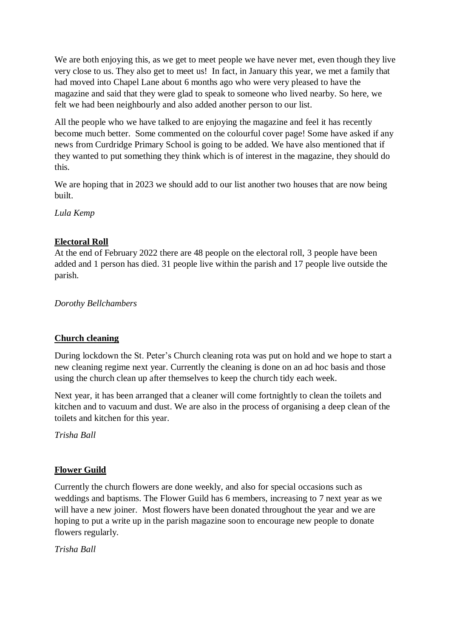We are both enjoying this, as we get to meet people we have never met, even though they live very close to us. They also get to meet us! In fact, in January this year, we met a family that had moved into Chapel Lane about 6 months ago who were very pleased to have the magazine and said that they were glad to speak to someone who lived nearby. So here, we felt we had been neighbourly and also added another person to our list.

All the people who we have talked to are enjoying the magazine and feel it has recently become much better. Some commented on the colourful cover page! Some have asked if any news from Curdridge Primary School is going to be added. We have also mentioned that if they wanted to put something they think which is of interest in the magazine, they should do this.

We are hoping that in 2023 we should add to our list another two houses that are now being built.

*Lula Kemp*

## **Electoral Roll**

At the end of February 2022 there are 48 people on the electoral roll, 3 people have been added and 1 person has died. 31 people live within the parish and 17 people live outside the parish.

*Dorothy Bellchambers*

## **Church cleaning**

During lockdown the St. Peter's Church cleaning rota was put on hold and we hope to start a new cleaning regime next year. Currently the cleaning is done on an ad hoc basis and those using the church clean up after themselves to keep the church tidy each week.

Next year, it has been arranged that a cleaner will come fortnightly to clean the toilets and kitchen and to vacuum and dust. We are also in the process of organising a deep clean of the toilets and kitchen for this year.

*Trisha Ball*

## **Flower Guild**

Currently the church flowers are done weekly, and also for special occasions such as weddings and baptisms. The Flower Guild has 6 members, increasing to 7 next year as we will have a new joiner. Most flowers have been donated throughout the year and we are hoping to put a write up in the parish magazine soon to encourage new people to donate flowers regularly.

*Trisha Ball*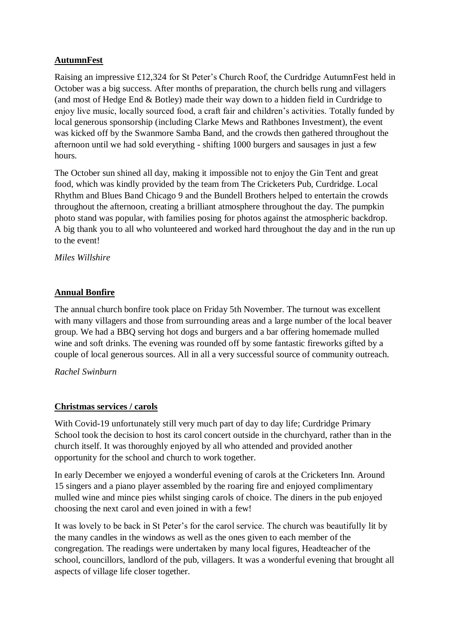## **AutumnFest**

Raising an impressive £12,324 for St Peter's Church Roof, the Curdridge AutumnFest held in October was a big success. After months of preparation, the church bells rung and villagers (and most of Hedge End & Botley) made their way down to a hidden field in Curdridge to enjoy live music, locally sourced food, a craft fair and children's activities. Totally funded by local generous sponsorship (including Clarke Mews and Rathbones Investment), the event was kicked off by the Swanmore Samba Band, and the crowds then gathered throughout the afternoon until we had sold everything - shifting 1000 burgers and sausages in just a few hours.

The October sun shined all day, making it impossible not to enjoy the Gin Tent and great food, which was kindly provided by the team from The Cricketers Pub, Curdridge. Local Rhythm and Blues Band Chicago 9 and the Bundell Brothers helped to entertain the crowds throughout the afternoon, creating a brilliant atmosphere throughout the day. The pumpkin photo stand was popular, with families posing for photos against the atmospheric backdrop. A big thank you to all who volunteered and worked hard throughout the day and in the run up to the event!

*Miles Willshire*

## **Annual Bonfire**

The annual church bonfire took place on Friday 5th November. The turnout was excellent with many villagers and those from surrounding areas and a large number of the local beaver group. We had a BBQ serving hot dogs and burgers and a bar offering homemade mulled wine and soft drinks. The evening was rounded off by some fantastic fireworks gifted by a couple of local generous sources. All in all a very successful source of community outreach.

#### *Rachel Swinburn*

#### **Christmas services / carols**

With Covid-19 unfortunately still very much part of day to day life; Curdridge Primary School took the decision to host its carol concert outside in the churchyard, rather than in the church itself. It was thoroughly enjoyed by all who attended and provided another opportunity for the school and church to work together.

In early December we enjoyed a wonderful evening of carols at the Cricketers Inn. Around 15 singers and a piano player assembled by the roaring fire and enjoyed complimentary mulled wine and mince pies whilst singing carols of choice. The diners in the pub enjoyed choosing the next carol and even joined in with a few!

It was lovely to be back in St Peter's for the carol service. The church was beautifully lit by the many candles in the windows as well as the ones given to each member of the congregation. The readings were undertaken by many local figures, Headteacher of the school, councillors, landlord of the pub, villagers. It was a wonderful evening that brought all aspects of village life closer together.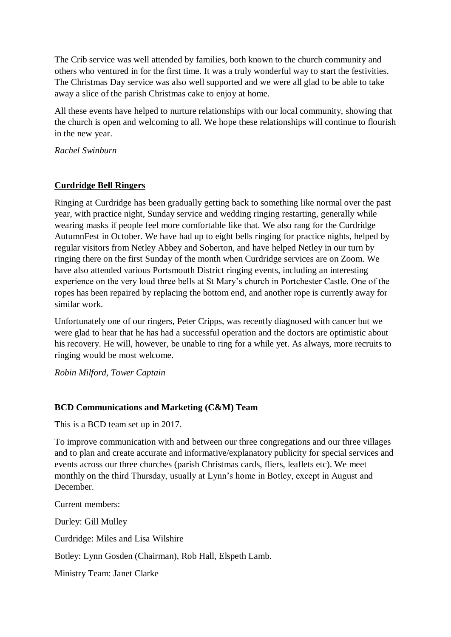The Crib service was well attended by families, both known to the church community and others who ventured in for the first time. It was a truly wonderful way to start the festivities. The Christmas Day service was also well supported and we were all glad to be able to take away a slice of the parish Christmas cake to enjoy at home.

All these events have helped to nurture relationships with our local community, showing that the church is open and welcoming to all. We hope these relationships will continue to flourish in the new year.

*Rachel Swinburn*

## **Curdridge Bell Ringers**

Ringing at Curdridge has been gradually getting back to something like normal over the past year, with practice night, Sunday service and wedding ringing restarting, generally while wearing masks if people feel more comfortable like that. We also rang for the Curdridge AutumnFest in October. We have had up to eight bells ringing for practice nights, helped by regular visitors from Netley Abbey and Soberton, and have helped Netley in our turn by ringing there on the first Sunday of the month when Curdridge services are on Zoom. We have also attended various Portsmouth District ringing events, including an interesting experience on the very loud three bells at St Mary's church in Portchester Castle. One of the ropes has been repaired by replacing the bottom end, and another rope is currently away for similar work.

Unfortunately one of our ringers, Peter Cripps, was recently diagnosed with cancer but we were glad to hear that he has had a successful operation and the doctors are optimistic about his recovery. He will, however, be unable to ring for a while yet. As always, more recruits to ringing would be most welcome.

*Robin Milford, Tower Captain*

#### **BCD Communications and Marketing (C&M) Team**

This is a BCD team set up in 2017.

To improve communication with and between our three congregations and our three villages and to plan and create accurate and informative/explanatory publicity for special services and events across our three churches (parish Christmas cards, fliers, leaflets etc). We meet monthly on the third Thursday, usually at Lynn's home in Botley, except in August and December.

Current members:

Durley: Gill Mulley

Curdridge: Miles and Lisa Wilshire

Botley: Lynn Gosden (Chairman), Rob Hall, Elspeth Lamb.

Ministry Team: Janet Clarke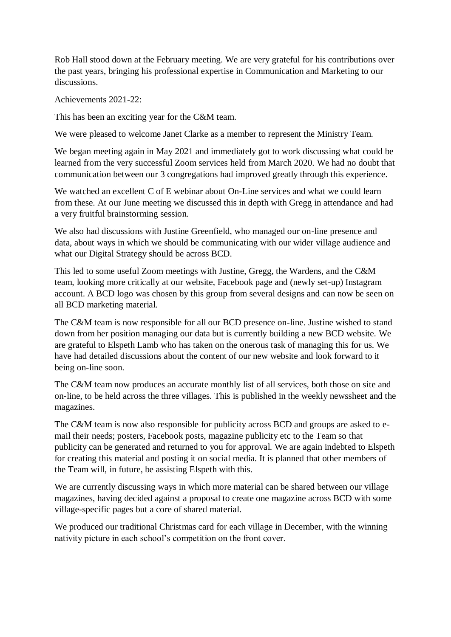Rob Hall stood down at the February meeting. We are very grateful for his contributions over the past years, bringing his professional expertise in Communication and Marketing to our discussions.

Achievements 2021-22:

This has been an exciting year for the C&M team.

We were pleased to welcome Janet Clarke as a member to represent the Ministry Team.

We began meeting again in May 2021 and immediately got to work discussing what could be learned from the very successful Zoom services held from March 2020. We had no doubt that communication between our 3 congregations had improved greatly through this experience.

We watched an excellent C of E webinar about On-Line services and what we could learn from these. At our June meeting we discussed this in depth with Gregg in attendance and had a very fruitful brainstorming session.

We also had discussions with Justine Greenfield, who managed our on-line presence and data, about ways in which we should be communicating with our wider village audience and what our Digital Strategy should be across BCD.

This led to some useful Zoom meetings with Justine, Gregg, the Wardens, and the C&M team, looking more critically at our website, Facebook page and (newly set-up) Instagram account. A BCD logo was chosen by this group from several designs and can now be seen on all BCD marketing material.

The C&M team is now responsible for all our BCD presence on-line. Justine wished to stand down from her position managing our data but is currently building a new BCD website. We are grateful to Elspeth Lamb who has taken on the onerous task of managing this for us. We have had detailed discussions about the content of our new website and look forward to it being on-line soon.

The C&M team now produces an accurate monthly list of all services, both those on site and on-line, to be held across the three villages. This is published in the weekly newssheet and the magazines.

The C&M team is now also responsible for publicity across BCD and groups are asked to email their needs; posters, Facebook posts, magazine publicity etc to the Team so that publicity can be generated and returned to you for approval. We are again indebted to Elspeth for creating this material and posting it on social media. It is planned that other members of the Team will, in future, be assisting Elspeth with this.

We are currently discussing ways in which more material can be shared between our village magazines, having decided against a proposal to create one magazine across BCD with some village-specific pages but a core of shared material.

We produced our traditional Christmas card for each village in December, with the winning nativity picture in each school's competition on the front cover.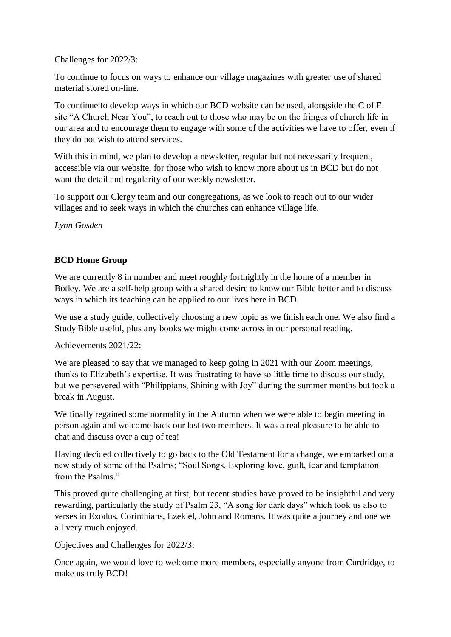Challenges for 2022/3:

To continue to focus on ways to enhance our village magazines with greater use of shared material stored on-line.

To continue to develop ways in which our BCD website can be used, alongside the C of E site "A Church Near You", to reach out to those who may be on the fringes of church life in our area and to encourage them to engage with some of the activities we have to offer, even if they do not wish to attend services.

With this in mind, we plan to develop a new sletter, regular but not necessarily frequent, accessible via our website, for those who wish to know more about us in BCD but do not want the detail and regularity of our weekly newsletter.

To support our Clergy team and our congregations, as we look to reach out to our wider villages and to seek ways in which the churches can enhance village life.

*Lynn Gosden*

## **BCD Home Group**

We are currently 8 in number and meet roughly fortnightly in the home of a member in Botley. We are a self-help group with a shared desire to know our Bible better and to discuss ways in which its teaching can be applied to our lives here in BCD.

We use a study guide, collectively choosing a new topic as we finish each one. We also find a Study Bible useful, plus any books we might come across in our personal reading.

Achievements 2021/22:

We are pleased to say that we managed to keep going in 2021 with our Zoom meetings, thanks to Elizabeth's expertise. It was frustrating to have so little time to discuss our study, but we persevered with "Philippians, Shining with Joy" during the summer months but took a break in August.

We finally regained some normality in the Autumn when we were able to begin meeting in person again and welcome back our last two members. It was a real pleasure to be able to chat and discuss over a cup of tea!

Having decided collectively to go back to the Old Testament for a change, we embarked on a new study of some of the Psalms; "Soul Songs. Exploring love, guilt, fear and temptation from the Psalms."

This proved quite challenging at first, but recent studies have proved to be insightful and very rewarding, particularly the study of Psalm 23, "A song for dark days" which took us also to verses in Exodus, Corinthians, Ezekiel, John and Romans. It was quite a journey and one we all very much enjoyed.

Objectives and Challenges for 2022/3:

Once again, we would love to welcome more members, especially anyone from Curdridge, to make us truly BCD!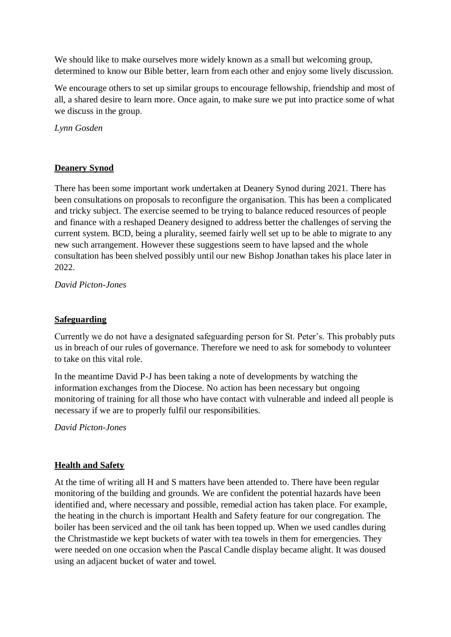We should like to make ourselves more widely known as a small but welcoming group, determined to know our Bible better, learn from each other and enjoy some lively discussion.

We encourage others to set up similar groups to encourage fellowship, friendship and most of all, a shared desire to learn more. Once again, to make sure we put into practice some of what we discuss in the group.

*Lynn Gosden*

#### **Deanery Synod**

There has been some important work undertaken at Deanery Synod during 2021. There has been consultations on proposals to reconfigure the organisation. This has been a complicated and tricky subject. The exercise seemed to be trying to balance reduced resources of people and finance with a reshaped Deanery designed to address better the challenges of serving the current system. BCD, being a plurality, seemed fairly well set up to be able to migrate to any new such arrangement. However these suggestions seem to have lapsed and the whole consultation has been shelved possibly until our new Bishop Jonathan takes his place later in 2022.

*David Picton-Jones*

#### **Safeguarding**

Currently we do not have a designated safeguarding person for St. Peter's. This probably puts us in breach of our rules of governance. Therefore we need to ask for somebody to volunteer to take on this vital role.

In the meantime David P-J has been taking a note of developments by watching the information exchanges from the Diocese. No action has been necessary but ongoing monitoring of training for all those who have contact with vulnerable and indeed all people is necessary if we are to properly fulfil our responsibilities.

*David Picton-Jones*

#### **Health and Safety**

At the time of writing all H and S matters have been attended to. There have been regular monitoring of the building and grounds. We are confident the potential hazards have been identified and, where necessary and possible, remedial action has taken place. For example, the heating in the church is important Health and Safety feature for our congregation. The boiler has been serviced and the oil tank has been topped up. When we used candles during the Christmastide we kept buckets of water with tea towels in them for emergencies. They were needed on one occasion when the Pascal Candle display became alight. It was doused using an adjacent bucket of water and towel.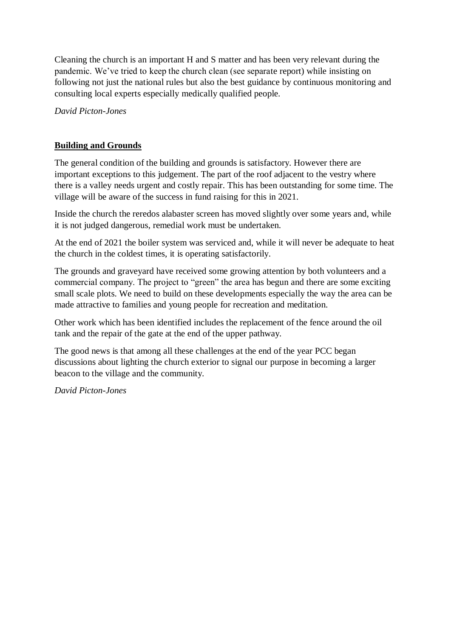Cleaning the church is an important H and S matter and has been very relevant during the pandemic. We've tried to keep the church clean (see separate report) while insisting on following not just the national rules but also the best guidance by continuous monitoring and consulting local experts especially medically qualified people.

*David Picton-Jones*

#### **Building and Grounds**

The general condition of the building and grounds is satisfactory. However there are important exceptions to this judgement. The part of the roof adjacent to the vestry where there is a valley needs urgent and costly repair. This has been outstanding for some time. The village will be aware of the success in fund raising for this in 2021.

Inside the church the reredos alabaster screen has moved slightly over some years and, while it is not judged dangerous, remedial work must be undertaken.

At the end of 2021 the boiler system was serviced and, while it will never be adequate to heat the church in the coldest times, it is operating satisfactorily.

The grounds and graveyard have received some growing attention by both volunteers and a commercial company. The project to "green" the area has begun and there are some exciting small scale plots. We need to build on these developments especially the way the area can be made attractive to families and young people for recreation and meditation.

Other work which has been identified includes the replacement of the fence around the oil tank and the repair of the gate at the end of the upper pathway.

The good news is that among all these challenges at the end of the year PCC began discussions about lighting the church exterior to signal our purpose in becoming a larger beacon to the village and the community.

*David Picton-Jones*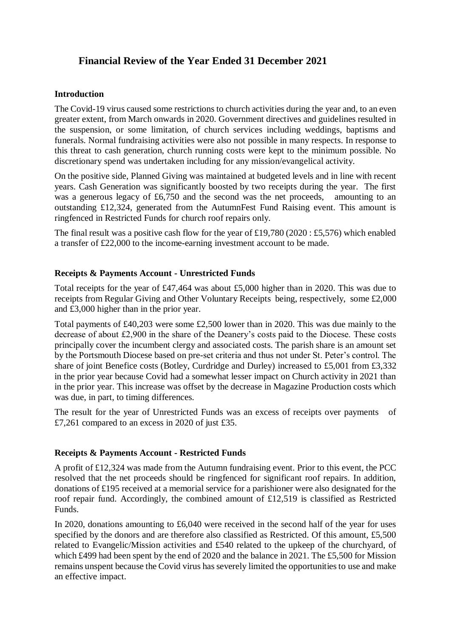# **Financial Review of the Year Ended 31 December 2021**

#### **Introduction**

The Covid-19 virus caused some restrictions to church activities during the year and, to an even greater extent, from March onwards in 2020. Government directives and guidelines resulted in the suspension, or some limitation, of church services including weddings, baptisms and funerals. Normal fundraising activities were also not possible in many respects. In response to this threat to cash generation, church running costs were kept to the minimum possible. No discretionary spend was undertaken including for any mission/evangelical activity.

On the positive side, Planned Giving was maintained at budgeted levels and in line with recent years. Cash Generation was significantly boosted by two receipts during the year. The first was a generous legacy of £6,750 and the second was the net proceeds, amounting to an outstanding £12,324, generated from the AutumnFest Fund Raising event. This amount is ringfenced in Restricted Funds for church roof repairs only.

The final result was a positive cash flow for the year of £19,780 (2020 : £5,576) which enabled a transfer of £22,000 to the income-earning investment account to be made.

#### **Receipts & Payments Account - Unrestricted Funds**

Total receipts for the year of £47,464 was about £5,000 higher than in 2020. This was due to receipts from Regular Giving and Other Voluntary Receipts being, respectively, some £2,000 and £3,000 higher than in the prior year.

Total payments of £40,203 were some £2,500 lower than in 2020. This was due mainly to the decrease of about £2,900 in the share of the Deanery's costs paid to the Diocese. These costs principally cover the incumbent clergy and associated costs. The parish share is an amount set by the Portsmouth Diocese based on pre-set criteria and thus not under St. Peter's control. The share of joint Benefice costs (Botley, Curdridge and Durley) increased to £5,001 from £3,332 in the prior year because Covid had a somewhat lesser impact on Church activity in 2021 than in the prior year. This increase was offset by the decrease in Magazine Production costs which was due, in part, to timing differences.

The result for the year of Unrestricted Funds was an excess of receipts over payments of £7,261 compared to an excess in 2020 of just £35.

#### **Receipts & Payments Account - Restricted Funds**

A profit of £12,324 was made from the Autumn fundraising event. Prior to this event, the PCC resolved that the net proceeds should be ringfenced for significant roof repairs. In addition, donations of £195 received at a memorial service for a parishioner were also designated for the roof repair fund. Accordingly, the combined amount of £12,519 is classified as Restricted Funds.

In 2020, donations amounting to £6,040 were received in the second half of the year for uses specified by the donors and are therefore also classified as Restricted. Of this amount, £5,500 related to Evangelic/Mission activities and £540 related to the upkeep of the churchyard, of which £499 had been spent by the end of 2020 and the balance in 2021. The £5,500 for Mission remains unspent because the Covid virus has severely limited the opportunities to use and make an effective impact.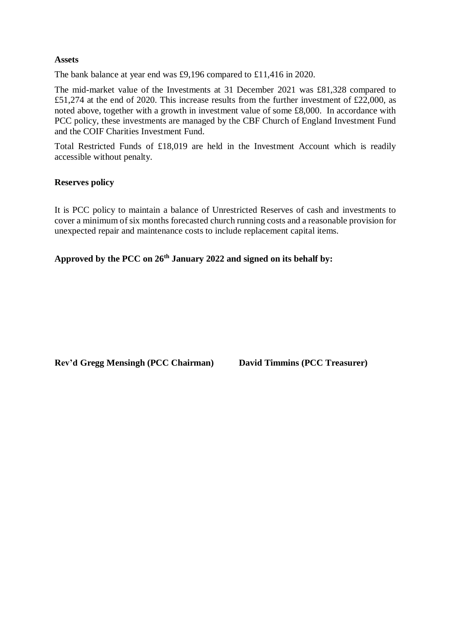#### **Assets**

The bank balance at year end was £9,196 compared to £11,416 in 2020.

The mid-market value of the Investments at 31 December 2021 was £81,328 compared to £51,274 at the end of 2020. This increase results from the further investment of £22,000, as noted above, together with a growth in investment value of some £8,000. In accordance with PCC policy, these investments are managed by the CBF Church of England Investment Fund and the COIF Charities Investment Fund.

Total Restricted Funds of £18,019 are held in the Investment Account which is readily accessible without penalty.

#### **Reserves policy**

It is PCC policy to maintain a balance of Unrestricted Reserves of cash and investments to cover a minimum of six months forecasted church running costs and a reasonable provision for unexpected repair and maintenance costs to include replacement capital items.

**Approved by the PCC on 26th January 2022 and signed on its behalf by:**

**Rev'd Gregg Mensingh (PCC Chairman) David Timmins (PCC Treasurer)**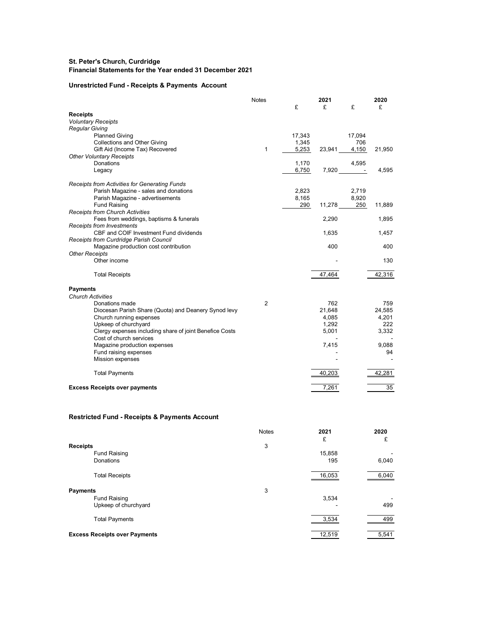#### **St. Peter's Church, Curdridge Financial Statements for the Year ended 31 December 2021**

#### **Unrestricted Fund - Receipts & Payments Account**

|                                                                                    | <b>Notes</b>   |        | 2021           |           | 2020         |
|------------------------------------------------------------------------------------|----------------|--------|----------------|-----------|--------------|
|                                                                                    |                | £      | £              | £         | £            |
| <b>Receipts</b>                                                                    |                |        |                |           |              |
| <b>Voluntary Receipts</b>                                                          |                |        |                |           |              |
| <b>Regular Giving</b>                                                              |                |        |                |           |              |
| <b>Planned Giving</b>                                                              |                | 17.343 |                | 17,094    |              |
| Collections and Other Giving                                                       |                | 1,345  |                | 706       |              |
| Gift Aid (Income Tax) Recovered                                                    | $\mathbf{1}$   | 5,253  | 23,941         | 4,150     | 21,950       |
| <b>Other Voluntary Receipts</b>                                                    |                |        |                |           |              |
| Donations                                                                          |                | 1,170  |                | 4,595     |              |
| Legacy                                                                             |                | 6,750  |                | $7,920 -$ | 4,595        |
| Receipts from Activities for Generating Funds                                      |                |        |                |           |              |
| Parish Magazine - sales and donations                                              |                | 2,823  |                | 2,719     |              |
| Parish Magazine - advertisements                                                   |                | 8,165  |                | 8,920     |              |
| <b>Fund Raising</b>                                                                |                | 290    | 11,278         | 250       | 11,889       |
| <b>Receipts from Church Activities</b>                                             |                |        |                |           |              |
| Fees from weddings, baptisms & funerals                                            |                |        | 2,290          |           | 1,895        |
| <b>Receipts from Investments</b><br>CBF and COIF Investment Fund dividends         |                |        | 1,635          |           |              |
| Receipts from Curdridge Parish Council                                             |                |        |                |           | 1,457        |
| Magazine production cost contribution                                              |                |        | 400            |           | 400          |
| <b>Other Receipts</b>                                                              |                |        |                |           |              |
| Other income                                                                       |                |        |                |           | 130          |
|                                                                                    |                |        |                |           |              |
| <b>Total Receipts</b>                                                              |                |        | 47,464         |           | 42,316       |
| <b>Payments</b>                                                                    |                |        |                |           |              |
| <b>Church Activities</b>                                                           |                |        |                |           |              |
| Donations made                                                                     | $\overline{2}$ |        | 762            |           | 759          |
| Diocesan Parish Share (Quota) and Deanery Synod levy                               |                |        | 21,648         |           | 24,585       |
| Church running expenses                                                            |                |        | 4,085          |           | 4,201        |
| Upkeep of churchyard                                                               |                |        | 1,292<br>5,001 |           | 222<br>3,332 |
| Clergy expenses including share of joint Benefice Costs<br>Cost of church services |                |        |                |           |              |
| Magazine production expenses                                                       |                |        | 7,415          |           | 9,088        |
| Fund raising expenses                                                              |                |        |                |           | 94           |
| Mission expenses                                                                   |                |        |                |           |              |
|                                                                                    |                |        |                |           |              |
| <b>Total Payments</b>                                                              |                |        | 40,203         |           | 42,281       |
| <b>Excess Receipts over payments</b>                                               |                |        | 7,261          |           | 35           |
|                                                                                    |                |        |                |           |              |

#### **Restricted Fund - Receipts & Payments Account**

|                                      | <b>Notes</b> | 2021<br>£ | 2020<br>£ |
|--------------------------------------|--------------|-----------|-----------|
| <b>Receipts</b>                      | 3            |           |           |
| <b>Fund Raising</b>                  |              | 15,858    |           |
| Donations                            |              | 195       | 6,040     |
| <b>Total Receipts</b>                |              | 16,053    | 6,040     |
| <b>Payments</b>                      | 3            |           |           |
| <b>Fund Raising</b>                  |              | 3,534     |           |
| Upkeep of churchyard                 |              |           | 499       |
| <b>Total Payments</b>                |              | 3,534     | 499       |
| <b>Excess Receipts over Payments</b> |              | 12,519    | 5,541     |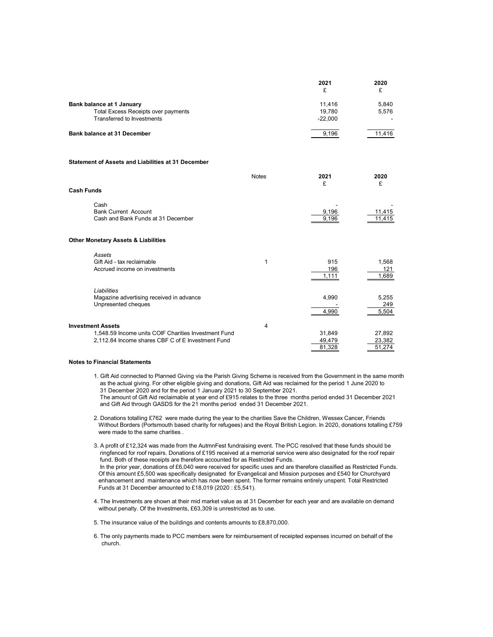|                                     | 2021<br>£ | 2020   |
|-------------------------------------|-----------|--------|
| Bank balance at 1 January           | 11.416    | 5.840  |
| Total Excess Receipts over payments | 19.780    | 5.576  |
| Transferred to Investments          | $-22.000$ | $\sim$ |
| <b>Bank balance at 31 December</b>  | 9.196     | 11.416 |

#### **Statement of Assets and Liabilities at 31 December**

|                          |                                                                                                           | <b>Notes</b> | 2021<br>£                  | 2020<br>£                  |
|--------------------------|-----------------------------------------------------------------------------------------------------------|--------------|----------------------------|----------------------------|
| Cash Funds               |                                                                                                           |              |                            |                            |
| Cash                     | <b>Bank Current Account</b><br>Cash and Bank Funds at 31 December                                         |              | 9,196<br>9,196             | 11,415<br>11,415           |
|                          | Other Monetary Assets & Liabilities                                                                       |              |                            |                            |
| Assets                   | Gift Aid - tax reclaimable<br>Accrued income on investments                                               |              | 915<br>196<br>1,111        | 1,568<br>121<br>1,689      |
| Liabilities              | Magazine advertising received in advance<br>Unpresented cheques                                           |              | 4,990<br>4,990             | 5,255<br>249<br>5,504      |
| <b>Investment Assets</b> | 1,548.59 Income units COIF Charities Investment Fund<br>2,112.84 Income shares CBF C of E Investment Fund | 4            | 31,849<br>49,479<br>81,328 | 27,892<br>23,382<br>51,274 |

#### **Notes to Financial Statements**

1. Gift Aid connected to Planned Giving via the Parish Giving Scheme is received from the Government in the same month as the actual giving. For other eligible giving and donations, Gift Aid was reclaimed for the period 1 June 2020 to 31 December 2020 and for the period 1 January 2021 to 30 September 2021.

 The amount of Gift Aid reclaimable at year end of £915 relates to the three months period ended 31 December 2021 and Gift Aid through GASDS for the 21 months period ended 31 December 2021.

2. Donations totalling £762 were made during the year to the charities Save the Children, Wessex Cancer, Friends Without Borders (Portsmouth based charity for refugees) and the Royal British Legion. In 2020, donations totalling £759 were made to the same charities .

3. A profit of £12,324 was made from the AutmnFest fundraising event. The PCC resolved that these funds should be ringfenced for roof repairs. Donations of £195 received at a memorial service were also designated for the roof repair fund. Both of these receipts are therefore accounted for as Restricted Funds. In the prior year, donations of £6,040 were received for specific uses and are therefore classified as Restricted Funds. Of this amount £5,500 was specifically designated for Evangelical and Mission purposes and £540 for Churchyard enhancement and maintenance which has now been spent. The former remains entirely unspent. Total Restricted Funds at 31 December amounted to £18,019 (2020 : £5,541).

4. The Investments are shown at their mid market value as at 31 December for each year and are available on demand without penalty. Of the Investments, £63,309 is unrestricted as to use.

5. The insurance value of the buildings and contents amounts to £8,870,000.

6. The only payments made to PCC members were for reimbursement of receipted expenses incurred on behalf of the church.